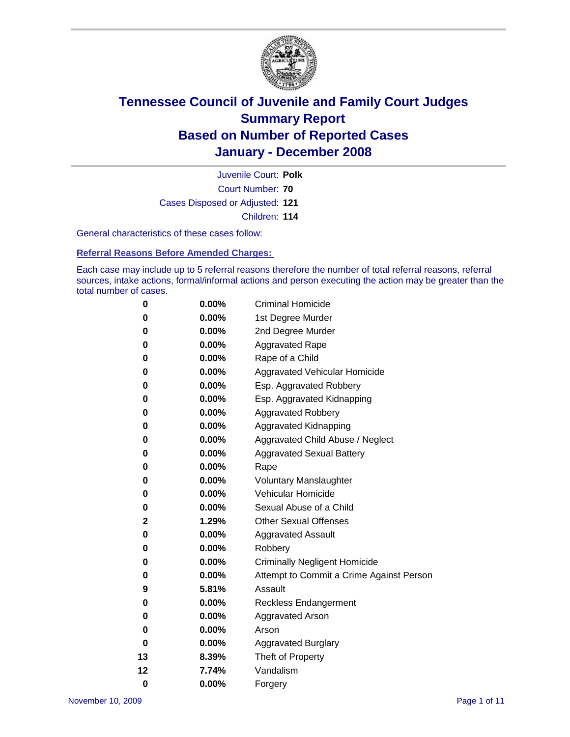

Court Number: **70** Juvenile Court: **Polk** Cases Disposed or Adjusted: **121** Children: **114**

General characteristics of these cases follow:

**Referral Reasons Before Amended Charges:** 

Each case may include up to 5 referral reasons therefore the number of total referral reasons, referral sources, intake actions, formal/informal actions and person executing the action may be greater than the total number of cases.

| 0  | 0.00%    | <b>Criminal Homicide</b>                 |  |  |  |  |
|----|----------|------------------------------------------|--|--|--|--|
| 0  | 0.00%    | 1st Degree Murder                        |  |  |  |  |
| 0  | $0.00\%$ | 2nd Degree Murder                        |  |  |  |  |
| 0  | 0.00%    | <b>Aggravated Rape</b>                   |  |  |  |  |
| 0  | 0.00%    | Rape of a Child                          |  |  |  |  |
| 0  | 0.00%    | Aggravated Vehicular Homicide            |  |  |  |  |
| 0  | 0.00%    | Esp. Aggravated Robbery                  |  |  |  |  |
| 0  | 0.00%    | Esp. Aggravated Kidnapping               |  |  |  |  |
| 0  | 0.00%    | <b>Aggravated Robbery</b>                |  |  |  |  |
| 0  | $0.00\%$ | Aggravated Kidnapping                    |  |  |  |  |
| 0  | 0.00%    | Aggravated Child Abuse / Neglect         |  |  |  |  |
| 0  | $0.00\%$ | <b>Aggravated Sexual Battery</b>         |  |  |  |  |
| 0  | 0.00%    | Rape                                     |  |  |  |  |
| 0  | 0.00%    | <b>Voluntary Manslaughter</b>            |  |  |  |  |
| 0  | 0.00%    | Vehicular Homicide                       |  |  |  |  |
| 0  | 0.00%    | Sexual Abuse of a Child                  |  |  |  |  |
| 2  | 1.29%    | <b>Other Sexual Offenses</b>             |  |  |  |  |
| 0  | 0.00%    | <b>Aggravated Assault</b>                |  |  |  |  |
| 0  | $0.00\%$ | Robbery                                  |  |  |  |  |
| 0  | 0.00%    | <b>Criminally Negligent Homicide</b>     |  |  |  |  |
| 0  | 0.00%    | Attempt to Commit a Crime Against Person |  |  |  |  |
| 9  | 5.81%    | Assault                                  |  |  |  |  |
| 0  | 0.00%    | <b>Reckless Endangerment</b>             |  |  |  |  |
| 0  | 0.00%    | <b>Aggravated Arson</b>                  |  |  |  |  |
| 0  | 0.00%    | Arson                                    |  |  |  |  |
| 0  | $0.00\%$ | <b>Aggravated Burglary</b>               |  |  |  |  |
| 13 | 8.39%    | Theft of Property                        |  |  |  |  |
| 12 | 7.74%    | Vandalism                                |  |  |  |  |
| 0  | 0.00%    | Forgery                                  |  |  |  |  |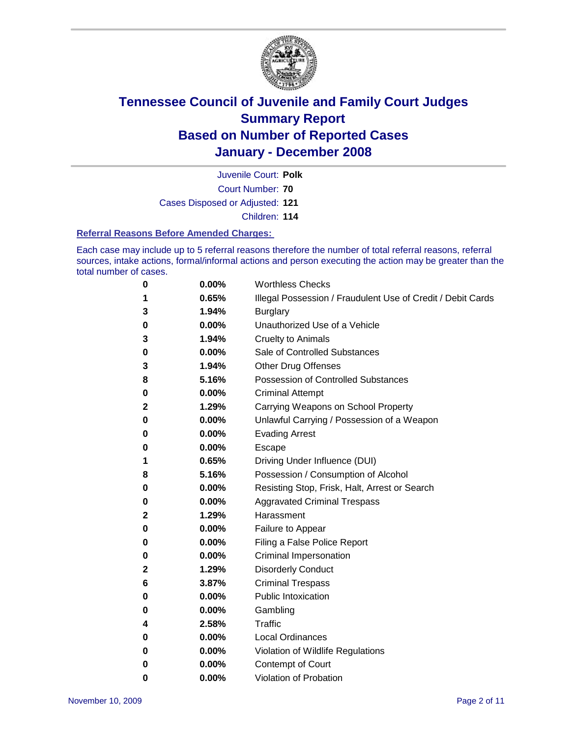

Court Number: **70** Juvenile Court: **Polk** Cases Disposed or Adjusted: **121** Children: **114**

#### **Referral Reasons Before Amended Charges:**

Each case may include up to 5 referral reasons therefore the number of total referral reasons, referral sources, intake actions, formal/informal actions and person executing the action may be greater than the total number of cases.

| 0 | 0.00%    | <b>Worthless Checks</b>                                     |
|---|----------|-------------------------------------------------------------|
| 1 | 0.65%    | Illegal Possession / Fraudulent Use of Credit / Debit Cards |
| 3 | 1.94%    | <b>Burglary</b>                                             |
| 0 | $0.00\%$ | Unauthorized Use of a Vehicle                               |
| 3 | 1.94%    | <b>Cruelty to Animals</b>                                   |
| 0 | $0.00\%$ | Sale of Controlled Substances                               |
| 3 | 1.94%    | <b>Other Drug Offenses</b>                                  |
| 8 | 5.16%    | <b>Possession of Controlled Substances</b>                  |
| 0 | 0.00%    | <b>Criminal Attempt</b>                                     |
| 2 | 1.29%    | Carrying Weapons on School Property                         |
| 0 | 0.00%    | Unlawful Carrying / Possession of a Weapon                  |
| 0 | 0.00%    | <b>Evading Arrest</b>                                       |
| 0 | 0.00%    | Escape                                                      |
| 1 | 0.65%    | Driving Under Influence (DUI)                               |
| 8 | 5.16%    | Possession / Consumption of Alcohol                         |
| 0 | 0.00%    | Resisting Stop, Frisk, Halt, Arrest or Search               |
| 0 | 0.00%    | <b>Aggravated Criminal Trespass</b>                         |
| 2 | 1.29%    | Harassment                                                  |
| 0 | 0.00%    | Failure to Appear                                           |
| 0 | 0.00%    | Filing a False Police Report                                |
| 0 | 0.00%    | Criminal Impersonation                                      |
| 2 | 1.29%    | <b>Disorderly Conduct</b>                                   |
| 6 | 3.87%    | <b>Criminal Trespass</b>                                    |
| 0 | 0.00%    | <b>Public Intoxication</b>                                  |
| 0 | 0.00%    | Gambling                                                    |
| 4 | 2.58%    | Traffic                                                     |
| 0 | 0.00%    | <b>Local Ordinances</b>                                     |
| 0 | 0.00%    | Violation of Wildlife Regulations                           |
| 0 | 0.00%    | <b>Contempt of Court</b>                                    |
| 0 | 0.00%    | Violation of Probation                                      |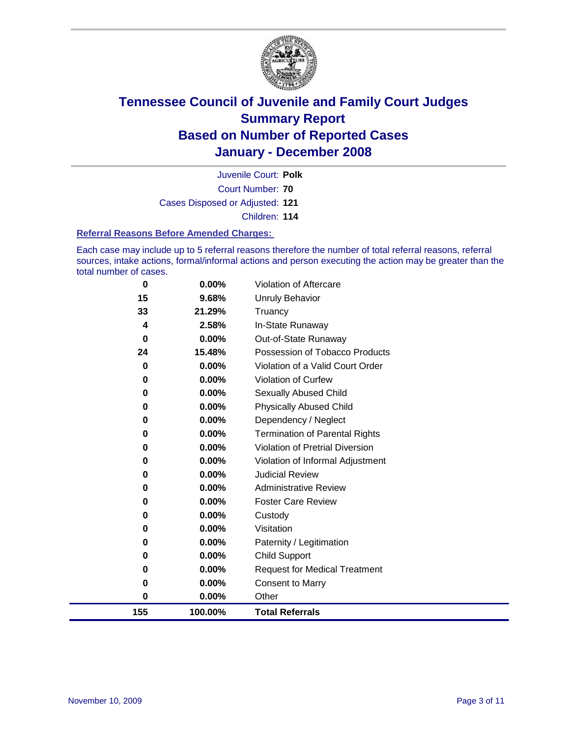

Court Number: **70** Juvenile Court: **Polk** Cases Disposed or Adjusted: **121** Children: **114**

#### **Referral Reasons Before Amended Charges:**

Each case may include up to 5 referral reasons therefore the number of total referral reasons, referral sources, intake actions, formal/informal actions and person executing the action may be greater than the total number of cases.

| 0        | $0.00\%$ | <b>Violation of Aftercare</b>         |
|----------|----------|---------------------------------------|
| 15       | 9.68%    | Unruly Behavior                       |
| 33       | 21.29%   | Truancy                               |
| 4        | 2.58%    | In-State Runaway                      |
| 0        | $0.00\%$ | Out-of-State Runaway                  |
| 24       | 15.48%   | Possession of Tobacco Products        |
| $\bf{0}$ | $0.00\%$ | Violation of a Valid Court Order      |
| 0        | 0.00%    | <b>Violation of Curfew</b>            |
| 0        | 0.00%    | <b>Sexually Abused Child</b>          |
| 0        | 0.00%    | <b>Physically Abused Child</b>        |
| 0        | 0.00%    | Dependency / Neglect                  |
| 0        | 0.00%    | <b>Termination of Parental Rights</b> |
| 0        | $0.00\%$ | Violation of Pretrial Diversion       |
| 0        | $0.00\%$ | Violation of Informal Adjustment      |
| 0        | 0.00%    | <b>Judicial Review</b>                |
| 0        | 0.00%    | <b>Administrative Review</b>          |
| 0        | 0.00%    | <b>Foster Care Review</b>             |
| 0        | 0.00%    | Custody                               |
| 0        | 0.00%    | Visitation                            |
| 0        | 0.00%    | Paternity / Legitimation              |
| 0        | $0.00\%$ | <b>Child Support</b>                  |
| 0        | 0.00%    | <b>Request for Medical Treatment</b>  |
| 0        | 0.00%    | <b>Consent to Marry</b>               |
| 0        | $0.00\%$ | Other                                 |
| 155      | 100.00%  | <b>Total Referrals</b>                |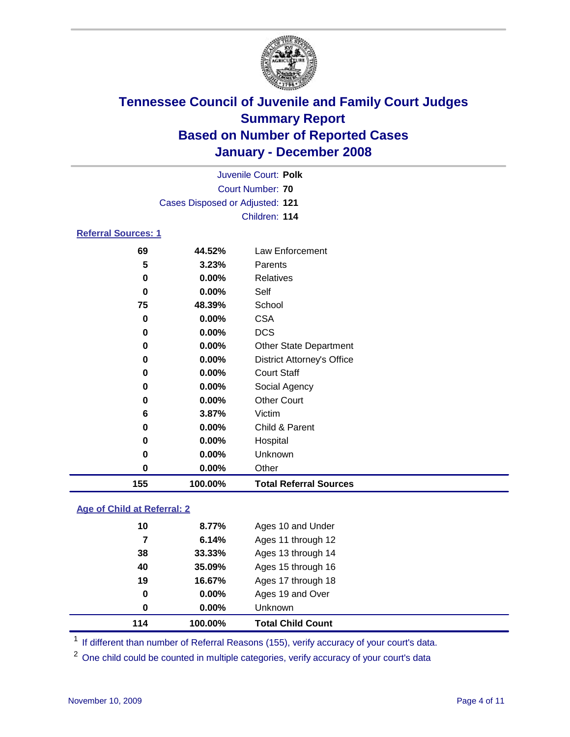

| Juvenile Court: Polk            |          |                                   |  |  |  |
|---------------------------------|----------|-----------------------------------|--|--|--|
| Court Number: 70                |          |                                   |  |  |  |
| Cases Disposed or Adjusted: 121 |          |                                   |  |  |  |
|                                 |          | Children: 114                     |  |  |  |
| <b>Referral Sources: 1</b>      |          |                                   |  |  |  |
| 69                              | 44.52%   | Law Enforcement                   |  |  |  |
| 5                               | 3.23%    | Parents                           |  |  |  |
| 0                               | $0.00\%$ | <b>Relatives</b>                  |  |  |  |
| 0                               | $0.00\%$ | Self                              |  |  |  |
| 75                              | 48.39%   | School                            |  |  |  |
| 0                               | $0.00\%$ | <b>CSA</b>                        |  |  |  |
| 0                               | $0.00\%$ | <b>DCS</b>                        |  |  |  |
| 0                               | 0.00%    | <b>Other State Department</b>     |  |  |  |
| 0                               | $0.00\%$ | <b>District Attorney's Office</b> |  |  |  |
| 0                               | $0.00\%$ | <b>Court Staff</b>                |  |  |  |
| 0                               | 0.00%    | Social Agency                     |  |  |  |
| 0                               | 0.00%    | <b>Other Court</b>                |  |  |  |
| 6                               | 3.87%    | Victim                            |  |  |  |
| 0                               | 0.00%    | Child & Parent                    |  |  |  |

| 155 | 100.00%  | <b>Total Referral Sources</b> |
|-----|----------|-------------------------------|
|     | $0.00\%$ | Other                         |
|     | $0.00\%$ | Unknown                       |
|     | $0.00\%$ | Hospital                      |

### **Age of Child at Referral: 2**

| 114 | 100.00%  | <b>Total Child Count</b> |
|-----|----------|--------------------------|
| 0   | $0.00\%$ | Unknown                  |
| 0   | 0.00%    | Ages 19 and Over         |
| 19  | 16.67%   | Ages 17 through 18       |
| 40  | 35.09%   | Ages 15 through 16       |
| 38  | 33.33%   | Ages 13 through 14       |
| 7   | 6.14%    | Ages 11 through 12       |
| 10  | 8.77%    | Ages 10 and Under        |
|     |          |                          |

<sup>1</sup> If different than number of Referral Reasons (155), verify accuracy of your court's data.

<sup>2</sup> One child could be counted in multiple categories, verify accuracy of your court's data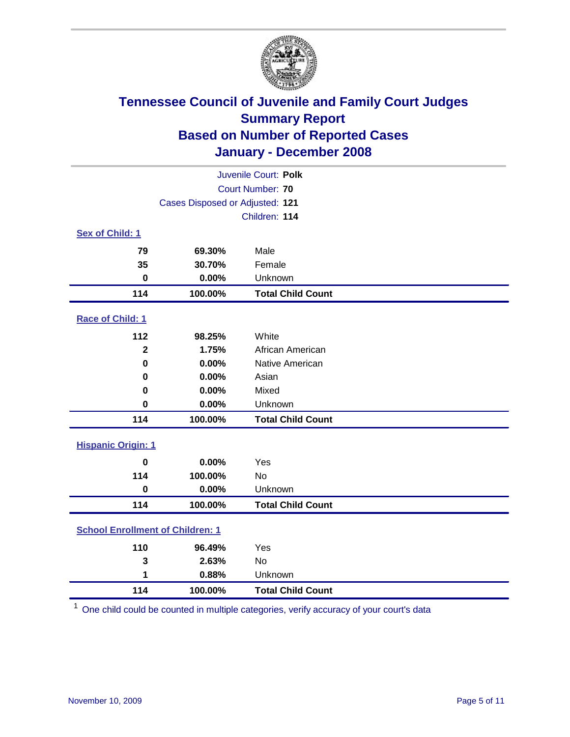

| Juvenile Court: Polk                    |                                 |                          |  |  |  |
|-----------------------------------------|---------------------------------|--------------------------|--|--|--|
| Court Number: 70                        |                                 |                          |  |  |  |
|                                         | Cases Disposed or Adjusted: 121 |                          |  |  |  |
|                                         |                                 | Children: 114            |  |  |  |
| Sex of Child: 1                         |                                 |                          |  |  |  |
| 79                                      | 69.30%                          | Male                     |  |  |  |
| 35                                      | 30.70%                          | Female                   |  |  |  |
| $\bf{0}$                                | 0.00%                           | Unknown                  |  |  |  |
| 114                                     | 100.00%                         | <b>Total Child Count</b> |  |  |  |
| <b>Race of Child: 1</b>                 |                                 |                          |  |  |  |
| 112                                     | 98.25%                          | White                    |  |  |  |
| $\mathbf{2}$                            | 1.75%                           | African American         |  |  |  |
| $\bf{0}$                                | 0.00%                           | Native American          |  |  |  |
| 0                                       | 0.00%                           | Asian                    |  |  |  |
| 0                                       | 0.00%                           | Mixed                    |  |  |  |
| $\bf{0}$                                | 0.00%                           | Unknown                  |  |  |  |
| 114                                     | 100.00%                         | <b>Total Child Count</b> |  |  |  |
| <b>Hispanic Origin: 1</b>               |                                 |                          |  |  |  |
| $\mathbf 0$                             | 0.00%                           | Yes                      |  |  |  |
| 114                                     | 100.00%                         | No                       |  |  |  |
| $\mathbf 0$                             | 0.00%                           | Unknown                  |  |  |  |
| 114                                     | 100.00%                         | <b>Total Child Count</b> |  |  |  |
| <b>School Enrollment of Children: 1</b> |                                 |                          |  |  |  |
| 110                                     | 96.49%                          | Yes                      |  |  |  |
| 3                                       | 2.63%                           | No                       |  |  |  |
| 1                                       | 0.88%                           | Unknown                  |  |  |  |
| 114                                     | 100.00%                         | <b>Total Child Count</b> |  |  |  |

One child could be counted in multiple categories, verify accuracy of your court's data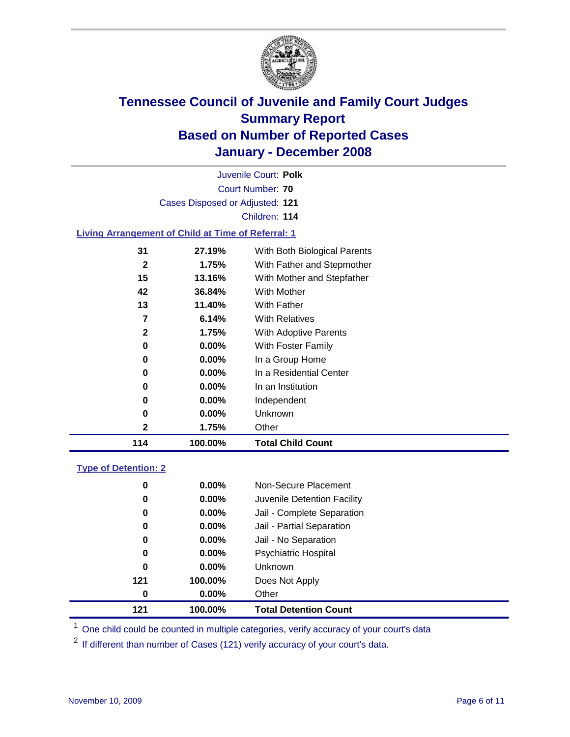

|                                                           |                                 | Juvenile Court: Polk         |  |
|-----------------------------------------------------------|---------------------------------|------------------------------|--|
|                                                           |                                 | Court Number: 70             |  |
|                                                           | Cases Disposed or Adjusted: 121 |                              |  |
|                                                           |                                 | Children: 114                |  |
| <b>Living Arrangement of Child at Time of Referral: 1</b> |                                 |                              |  |
| 31                                                        | 27.19%                          | With Both Biological Parents |  |
| 2                                                         | 1.75%                           | With Father and Stepmother   |  |
| 15                                                        | 13.16%                          | With Mother and Stepfather   |  |
| 42                                                        | 36.84%                          | With Mother                  |  |
| 13                                                        | 11.40%                          | With Father                  |  |
| 7                                                         | 6.14%                           | <b>With Relatives</b>        |  |
| $\mathbf{2}$                                              | 1.75%                           | With Adoptive Parents        |  |
| 0                                                         | $0.00\%$                        | With Foster Family           |  |
| 0                                                         | $0.00\%$                        | In a Group Home              |  |
| 0                                                         | $0.00\%$                        | In a Residential Center      |  |
| 0                                                         | $0.00\%$                        | In an Institution            |  |
| 0                                                         | $0.00\%$                        | Independent                  |  |
| 0                                                         | $0.00\%$                        | Unknown                      |  |

 **1.75%** Other **100.00% Total Child Count**

### **Type of Detention: 2**

| 121 | 100.00%  | <b>Total Detention Count</b> |
|-----|----------|------------------------------|
| 0   | $0.00\%$ | Other                        |
| 121 | 100.00%  | Does Not Apply               |
| 0   | $0.00\%$ | <b>Unknown</b>               |
| 0   | $0.00\%$ | <b>Psychiatric Hospital</b>  |
| 0   | $0.00\%$ | Jail - No Separation         |
| 0   | $0.00\%$ | Jail - Partial Separation    |
| 0   | 0.00%    | Jail - Complete Separation   |
| 0   | $0.00\%$ | Juvenile Detention Facility  |
| 0   | $0.00\%$ | Non-Secure Placement         |
|     |          |                              |

<sup>1</sup> One child could be counted in multiple categories, verify accuracy of your court's data

<sup>2</sup> If different than number of Cases (121) verify accuracy of your court's data.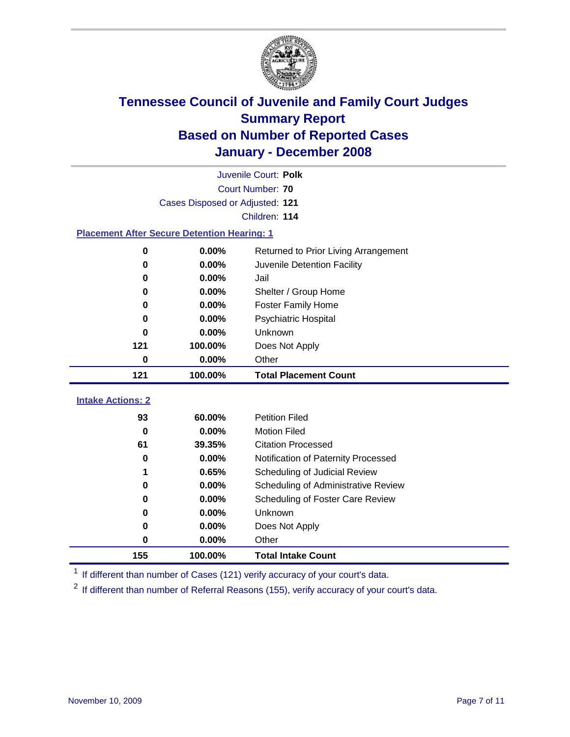

| Juvenile Court: Polk     |                                                    |                                      |  |  |  |
|--------------------------|----------------------------------------------------|--------------------------------------|--|--|--|
|                          | Court Number: 70                                   |                                      |  |  |  |
|                          | Cases Disposed or Adjusted: 121                    |                                      |  |  |  |
|                          |                                                    | Children: 114                        |  |  |  |
|                          | <b>Placement After Secure Detention Hearing: 1</b> |                                      |  |  |  |
| 0                        | 0.00%                                              | Returned to Prior Living Arrangement |  |  |  |
| 0                        | 0.00%                                              | Juvenile Detention Facility          |  |  |  |
| 0                        | 0.00%                                              | Jail                                 |  |  |  |
| 0                        | 0.00%                                              | Shelter / Group Home                 |  |  |  |
| 0                        | 0.00%                                              | <b>Foster Family Home</b>            |  |  |  |
| 0                        | 0.00%                                              | Psychiatric Hospital                 |  |  |  |
| 0                        | 0.00%                                              | Unknown                              |  |  |  |
| 121                      | 100.00%                                            | Does Not Apply                       |  |  |  |
| 0                        | 0.00%                                              | Other                                |  |  |  |
|                          |                                                    |                                      |  |  |  |
| 121                      | 100.00%                                            | <b>Total Placement Count</b>         |  |  |  |
| <b>Intake Actions: 2</b> |                                                    |                                      |  |  |  |
| 93                       | 60.00%                                             | <b>Petition Filed</b>                |  |  |  |
| $\bf{0}$                 | 0.00%                                              | <b>Motion Filed</b>                  |  |  |  |
| 61                       | 39.35%                                             | <b>Citation Processed</b>            |  |  |  |
| 0                        | 0.00%                                              | Notification of Paternity Processed  |  |  |  |
|                          | 0.65%                                              | Scheduling of Judicial Review        |  |  |  |
| 0                        | 0.00%                                              | Scheduling of Administrative Review  |  |  |  |
| 0                        | 0.00%                                              | Scheduling of Foster Care Review     |  |  |  |
| 0                        | 0.00%                                              | Unknown                              |  |  |  |
| 0                        | 0.00%                                              | Does Not Apply                       |  |  |  |
| $\bf{0}$                 | 0.00%                                              | Other                                |  |  |  |

<sup>1</sup> If different than number of Cases (121) verify accuracy of your court's data.

<sup>2</sup> If different than number of Referral Reasons (155), verify accuracy of your court's data.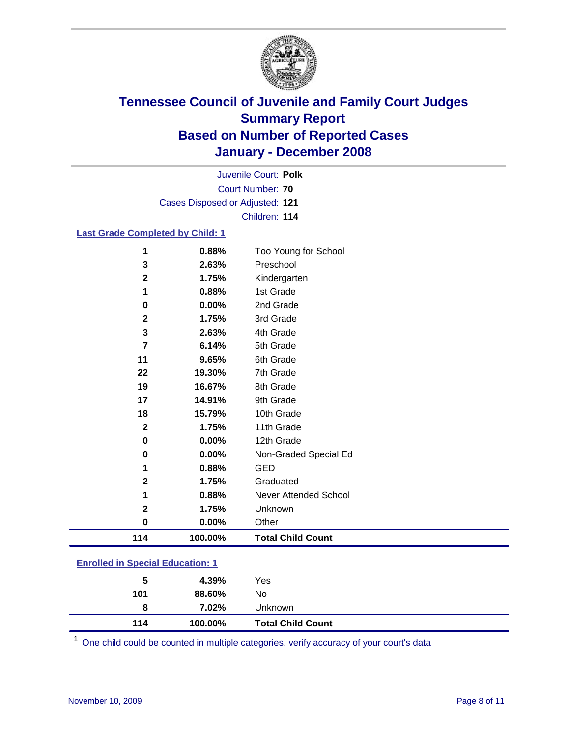

Court Number: **70** Juvenile Court: **Polk** Cases Disposed or Adjusted: **121** Children: **114**

#### **Last Grade Completed by Child: 1**

| 114            | 100.00% | <b>Total Child Count</b> |
|----------------|---------|--------------------------|
| 0              | 0.00%   | Other                    |
| $\mathbf 2$    | 1.75%   | Unknown                  |
| 1              | 0.88%   | Never Attended School    |
| 2              | 1.75%   | Graduated                |
| 1              | 0.88%   | <b>GED</b>               |
| 0              | 0.00%   | Non-Graded Special Ed    |
| 0              | 0.00%   | 12th Grade               |
| $\mathbf{2}$   | 1.75%   | 11th Grade               |
| 18             | 15.79%  | 10th Grade               |
| 17             | 14.91%  | 9th Grade                |
| 19             | 16.67%  | 8th Grade                |
| 22             | 19.30%  | 7th Grade                |
| 11             | 9.65%   | 6th Grade                |
| $\overline{7}$ | 6.14%   | 5th Grade                |
| 3              | 2.63%   | 4th Grade                |
| $\mathbf 2$    | 1.75%   | 3rd Grade                |
| $\bf{0}$       | 0.00%   | 2nd Grade                |
| 1              | 0.88%   | 1st Grade                |
| 2              | 1.75%   | Kindergarten             |
| 3              | 2.63%   | Preschool                |
| 1              | 0.88%   | Too Young for School     |

### **Enrolled in Special Education: 1**

| 5   | 4.39%   | Yes                      |
|-----|---------|--------------------------|
| 101 | 88.60%  | No.                      |
| 8   | 7.02%   | Unknown                  |
| 114 | 100.00% | <b>Total Child Count</b> |

One child could be counted in multiple categories, verify accuracy of your court's data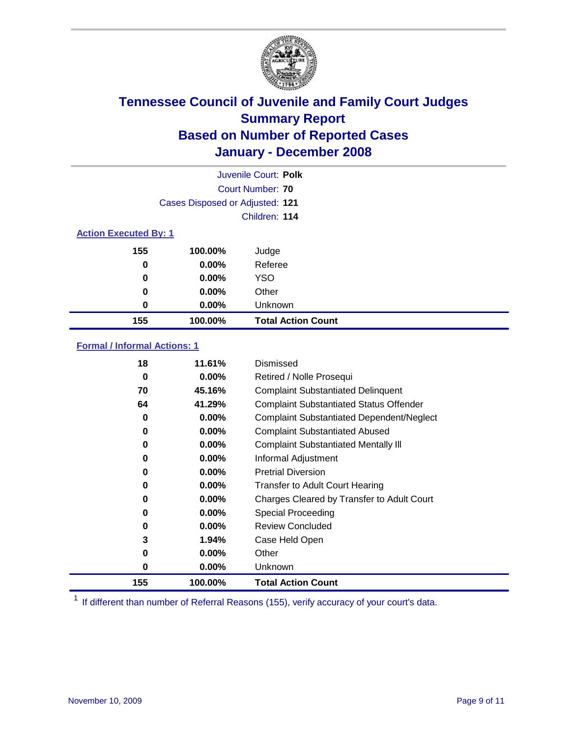

|                              |                                 | Juvenile Court: Polk      |  |
|------------------------------|---------------------------------|---------------------------|--|
|                              |                                 | Court Number: 70          |  |
|                              | Cases Disposed or Adjusted: 121 |                           |  |
|                              |                                 | Children: 114             |  |
| <b>Action Executed By: 1</b> |                                 |                           |  |
| 155                          | 100.00%                         | Judge                     |  |
| 0                            | $0.00\%$                        | Referee                   |  |
| 0                            | $0.00\%$                        | <b>YSO</b>                |  |
| 0                            | 0.00%                           | Other                     |  |
| 0                            | 0.00%                           | Unknown                   |  |
| 155                          | 100.00%                         | <b>Total Action Count</b> |  |

### **Formal / Informal Actions: 1**

| 18  | 11.61%   | Dismissed                                        |
|-----|----------|--------------------------------------------------|
| 0   | $0.00\%$ | Retired / Nolle Prosequi                         |
| 70  | 45.16%   | <b>Complaint Substantiated Delinquent</b>        |
| 64  | 41.29%   | <b>Complaint Substantiated Status Offender</b>   |
| 0   | 0.00%    | <b>Complaint Substantiated Dependent/Neglect</b> |
| 0   | $0.00\%$ | <b>Complaint Substantiated Abused</b>            |
| 0   | $0.00\%$ | <b>Complaint Substantiated Mentally III</b>      |
| 0   | $0.00\%$ | Informal Adjustment                              |
| 0   | $0.00\%$ | <b>Pretrial Diversion</b>                        |
| 0   | 0.00%    | <b>Transfer to Adult Court Hearing</b>           |
| 0   | 0.00%    | Charges Cleared by Transfer to Adult Court       |
| 0   | $0.00\%$ | Special Proceeding                               |
| 0   | $0.00\%$ | <b>Review Concluded</b>                          |
| 3   | 1.94%    | Case Held Open                                   |
| 0   | $0.00\%$ | Other                                            |
| 0   | $0.00\%$ | <b>Unknown</b>                                   |
| 155 | 100.00%  | <b>Total Action Count</b>                        |

<sup>1</sup> If different than number of Referral Reasons (155), verify accuracy of your court's data.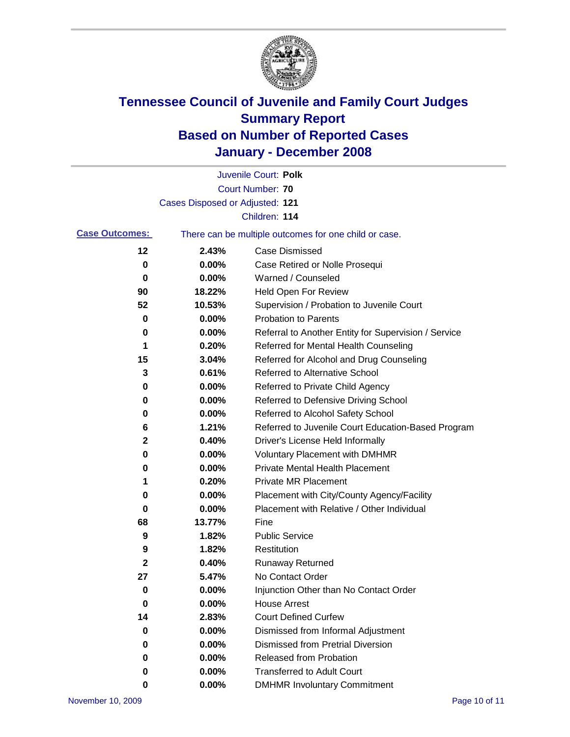

|                       |                                 | Juvenile Court: Polk                                  |
|-----------------------|---------------------------------|-------------------------------------------------------|
|                       |                                 | <b>Court Number: 70</b>                               |
|                       | Cases Disposed or Adjusted: 121 |                                                       |
|                       |                                 | Children: 114                                         |
| <b>Case Outcomes:</b> |                                 | There can be multiple outcomes for one child or case. |
| $12 \,$               | 2.43%                           | <b>Case Dismissed</b>                                 |
| 0                     | 0.00%                           | Case Retired or Nolle Prosequi                        |
| 0                     | 0.00%                           | Warned / Counseled                                    |
| 90                    | 18.22%                          | <b>Held Open For Review</b>                           |
| 52                    | 10.53%                          | Supervision / Probation to Juvenile Court             |
| 0                     | 0.00%                           | <b>Probation to Parents</b>                           |
| 0                     | 0.00%                           | Referral to Another Entity for Supervision / Service  |
| 1                     | 0.20%                           | Referred for Mental Health Counseling                 |
| 15                    | 3.04%                           | Referred for Alcohol and Drug Counseling              |
| 3                     | 0.61%                           | Referred to Alternative School                        |
| 0                     | 0.00%                           | Referred to Private Child Agency                      |
| 0                     | 0.00%                           | Referred to Defensive Driving School                  |
| 0                     | 0.00%                           | Referred to Alcohol Safety School                     |
| 6                     | 1.21%                           | Referred to Juvenile Court Education-Based Program    |
| $\mathbf 2$           | 0.40%                           | Driver's License Held Informally                      |
| 0                     | 0.00%                           | <b>Voluntary Placement with DMHMR</b>                 |
| 0                     | 0.00%                           | <b>Private Mental Health Placement</b>                |
| 1                     | 0.20%                           | <b>Private MR Placement</b>                           |
| 0                     | 0.00%                           | Placement with City/County Agency/Facility            |
| 0                     | 0.00%                           | Placement with Relative / Other Individual            |
| 68                    | 13.77%                          | Fine                                                  |
| 9                     | 1.82%                           | <b>Public Service</b>                                 |
| 9                     | 1.82%                           | Restitution                                           |
| 2                     | 0.40%                           | <b>Runaway Returned</b>                               |
| 27                    | 5.47%                           | No Contact Order                                      |
| 0                     | 0.00%                           | Injunction Other than No Contact Order                |
| 0                     | 0.00%                           | <b>House Arrest</b>                                   |
| 14                    | 2.83%                           | <b>Court Defined Curfew</b>                           |
| 0                     | 0.00%                           | Dismissed from Informal Adjustment                    |
| 0                     | 0.00%                           | <b>Dismissed from Pretrial Diversion</b>              |
| 0                     | 0.00%                           | Released from Probation                               |
| 0                     | 0.00%                           | <b>Transferred to Adult Court</b>                     |
| 0                     | 0.00%                           | <b>DMHMR Involuntary Commitment</b>                   |